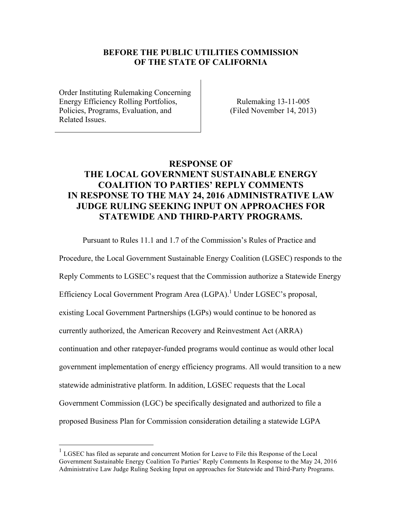# **BEFORE THE PUBLIC UTILITIES COMMISSION OF THE STATE OF CALIFORNIA**

Order Instituting Rulemaking Concerning Energy Efficiency Rolling Portfolios, Policies, Programs, Evaluation, and Related Issues.

 $\overline{a}$ 

Rulemaking 13-11-005 (Filed November 14, 2013)

# **RESPONSE OF THE LOCAL GOVERNMENT SUSTAINABLE ENERGY COALITION TO PARTIES' REPLY COMMENTS IN RESPONSE TO THE MAY 24, 2016 ADMINISTRATIVE LAW JUDGE RULING SEEKING INPUT ON APPROACHES FOR STATEWIDE AND THIRD-PARTY PROGRAMS.**

 Pursuant to Rules 11.1 and 1.7 of the Commission's Rules of Practice and Procedure, the Local Government Sustainable Energy Coalition (LGSEC) responds to the Reply Comments to LGSEC's request that the Commission authorize a Statewide Energy Efficiency Local Government Program Area (LGPA).<sup>1</sup> Under LGSEC's proposal, existing Local Government Partnerships (LGPs) would continue to be honored as currently authorized, the American Recovery and Reinvestment Act (ARRA) continuation and other ratepayer-funded programs would continue as would other local government implementation of energy efficiency programs. All would transition to a new statewide administrative platform. In addition, LGSEC requests that the Local Government Commission (LGC) be specifically designated and authorized to file a proposed Business Plan for Commission consideration detailing a statewide LGPA

<sup>1</sup> LGSEC has filed as separate and concurrent Motion for Leave to File this Response of the Local Government Sustainable Energy Coalition To Parties' Reply Comments In Response to the May 24, 2016 Administrative Law Judge Ruling Seeking Input on approaches for Statewide and Third-Party Programs.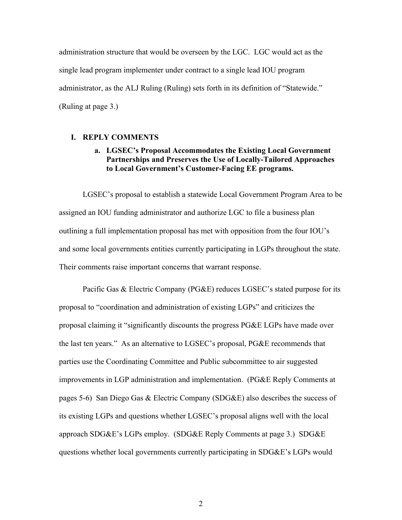administration structure that would be overseen by the LGC. LGC would act as the single lead program implementer under contract to a single lead IOU program administrator, as the ALJ Ruling (Ruling) sets forth in its definition of "Statewide." (Ruling at page 3.)

#### **I. REPLY COMMENTS**

# **a. LGSEC's Proposal Accommodates the Existing Local Government Partnerships and Preserves the Use of Locally-Tailored Approaches to Local Government's Customer-Facing EE programs.**

LGSEC's proposal to establish a statewide Local Government Program Area to be assigned an IOU funding administrator and authorize LGC to file a business plan outlining a full implementation proposal has met with opposition from the four IOU's and some local governments entities currently participating in LGPs throughout the state. Their comments raise important concerns that warrant response.

Pacific Gas & Electric Company (PG&E) reduces LGSEC's stated purpose for its proposal to "coordination and administration of existing LGPs" and criticizes the proposal claiming it "significantly discounts the progress PG&E LGPs have made over the last ten years." As an alternative to LGSEC's proposal, PG&E recommends that parties use the Coordinating Committee and Public subcommittee to air suggested improvements in LGP administration and implementation. (PG&E Reply Comments at pages 5-6) San Diego Gas & Electric Company (SDG&E) also describes the success of its existing LGPs and questions whether LGSEC's proposal aligns well with the local approach SDG&E's LGPs employ. (SDG&E Reply Comments at page 3.) SDG&E questions whether local governments currently participating in SDG&E's LGPs would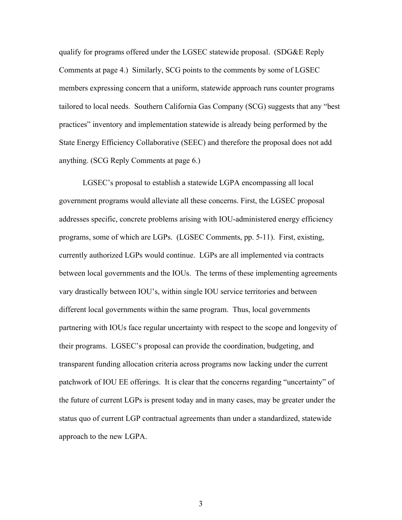qualify for programs offered under the LGSEC statewide proposal. (SDG&E Reply Comments at page 4.) Similarly, SCG points to the comments by some of LGSEC members expressing concern that a uniform, statewide approach runs counter programs tailored to local needs. Southern California Gas Company (SCG) suggests that any "best practices" inventory and implementation statewide is already being performed by the State Energy Efficiency Collaborative (SEEC) and therefore the proposal does not add anything. (SCG Reply Comments at page 6.)

LGSEC's proposal to establish a statewide LGPA encompassing all local government programs would alleviate all these concerns. First, the LGSEC proposal addresses specific, concrete problems arising with IOU-administered energy efficiency programs, some of which are LGPs. (LGSEC Comments, pp. 5-11). First, existing, currently authorized LGPs would continue. LGPs are all implemented via contracts between local governments and the IOUs. The terms of these implementing agreements vary drastically between IOU's, within single IOU service territories and between different local governments within the same program. Thus, local governments partnering with IOUs face regular uncertainty with respect to the scope and longevity of their programs. LGSEC's proposal can provide the coordination, budgeting, and transparent funding allocation criteria across programs now lacking under the current patchwork of IOU EE offerings. It is clear that the concerns regarding "uncertainty" of the future of current LGPs is present today and in many cases, may be greater under the status quo of current LGP contractual agreements than under a standardized, statewide approach to the new LGPA.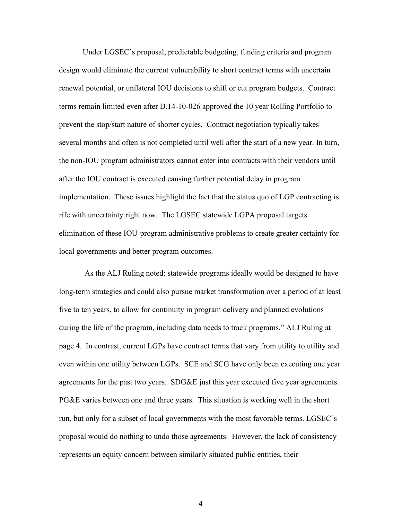Under LGSEC's proposal, predictable budgeting, funding criteria and program design would eliminate the current vulnerability to short contract terms with uncertain renewal potential, or unilateral IOU decisions to shift or cut program budgets. Contract terms remain limited even after D.14-10-026 approved the 10 year Rolling Portfolio to prevent the stop/start nature of shorter cycles. Contract negotiation typically takes several months and often is not completed until well after the start of a new year. In turn, the non-IOU program administrators cannot enter into contracts with their vendors until after the IOU contract is executed causing further potential delay in program implementation. These issues highlight the fact that the status quo of LGP contracting is rife with uncertainty right now. The LGSEC statewide LGPA proposal targets elimination of these IOU-program administrative problems to create greater certainty for local governments and better program outcomes.

 As the ALJ Ruling noted: statewide programs ideally would be designed to have long-term strategies and could also pursue market transformation over a period of at least five to ten years, to allow for continuity in program delivery and planned evolutions during the life of the program, including data needs to track programs." ALJ Ruling at page 4. In contrast, current LGPs have contract terms that vary from utility to utility and even within one utility between LGPs. SCE and SCG have only been executing one year agreements for the past two years. SDG&E just this year executed five year agreements. PG&E varies between one and three years. This situation is working well in the short run, but only for a subset of local governments with the most favorable terms. LGSEC's proposal would do nothing to undo those agreements. However, the lack of consistency represents an equity concern between similarly situated public entities, their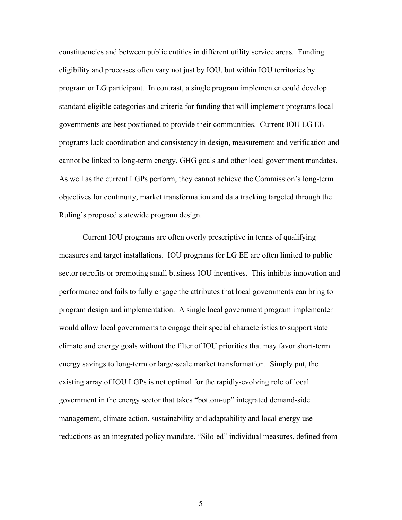constituencies and between public entities in different utility service areas. Funding eligibility and processes often vary not just by IOU, but within IOU territories by program or LG participant. In contrast, a single program implementer could develop standard eligible categories and criteria for funding that will implement programs local governments are best positioned to provide their communities. Current IOU LG EE programs lack coordination and consistency in design, measurement and verification and cannot be linked to long-term energy, GHG goals and other local government mandates. As well as the current LGPs perform, they cannot achieve the Commission's long-term objectives for continuity, market transformation and data tracking targeted through the Ruling's proposed statewide program design.

Current IOU programs are often overly prescriptive in terms of qualifying measures and target installations. IOU programs for LG EE are often limited to public sector retrofits or promoting small business IOU incentives. This inhibits innovation and performance and fails to fully engage the attributes that local governments can bring to program design and implementation. A single local government program implementer would allow local governments to engage their special characteristics to support state climate and energy goals without the filter of IOU priorities that may favor short-term energy savings to long-term or large-scale market transformation. Simply put, the existing array of IOU LGPs is not optimal for the rapidly-evolving role of local government in the energy sector that takes "bottom-up" integrated demand-side management, climate action, sustainability and adaptability and local energy use reductions as an integrated policy mandate. "Silo-ed" individual measures, defined from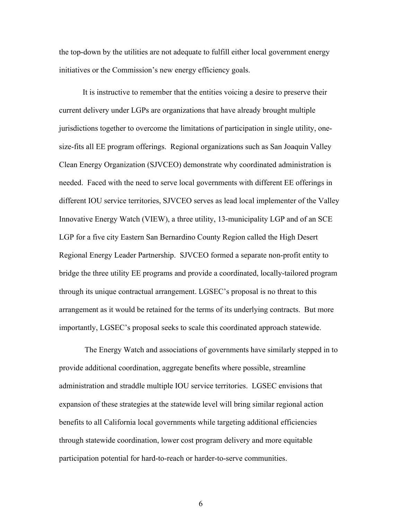the top-down by the utilities are not adequate to fulfill either local government energy initiatives or the Commission's new energy efficiency goals.

It is instructive to remember that the entities voicing a desire to preserve their current delivery under LGPs are organizations that have already brought multiple jurisdictions together to overcome the limitations of participation in single utility, onesize-fits all EE program offerings. Regional organizations such as San Joaquin Valley Clean Energy Organization (SJVCEO) demonstrate why coordinated administration is needed. Faced with the need to serve local governments with different EE offerings in different IOU service territories, SJVCEO serves as lead local implementer of the Valley Innovative Energy Watch (VIEW), a three utility, 13-municipality LGP and of an SCE LGP for a five city Eastern San Bernardino County Region called the High Desert Regional Energy Leader Partnership. SJVCEO formed a separate non-profit entity to bridge the three utility EE programs and provide a coordinated, locally-tailored program through its unique contractual arrangement. LGSEC's proposal is no threat to this arrangement as it would be retained for the terms of its underlying contracts. But more importantly, LGSEC's proposal seeks to scale this coordinated approach statewide.

 The Energy Watch and associations of governments have similarly stepped in to provide additional coordination, aggregate benefits where possible, streamline administration and straddle multiple IOU service territories. LGSEC envisions that expansion of these strategies at the statewide level will bring similar regional action benefits to all California local governments while targeting additional efficiencies through statewide coordination, lower cost program delivery and more equitable participation potential for hard-to-reach or harder-to-serve communities.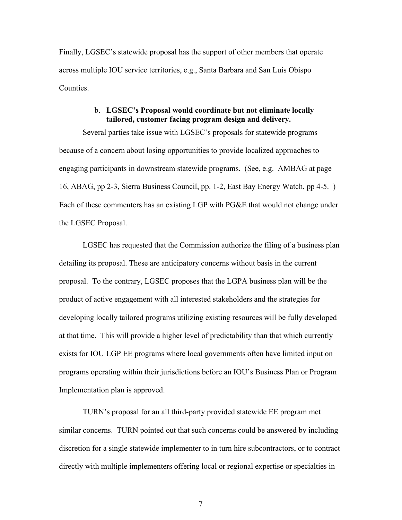Finally, LGSEC's statewide proposal has the support of other members that operate across multiple IOU service territories, e.g., Santa Barbara and San Luis Obispo **Counties** 

### b. **LGSEC's Proposal would coordinate but not eliminate locally tailored, customer facing program design and delivery.**

Several parties take issue with LGSEC's proposals for statewide programs because of a concern about losing opportunities to provide localized approaches to engaging participants in downstream statewide programs. (See, e.g. AMBAG at page 16, ABAG, pp 2-3, Sierra Business Council, pp. 1-2, East Bay Energy Watch, pp 4-5. ) Each of these commenters has an existing LGP with PG&E that would not change under the LGSEC Proposal.

LGSEC has requested that the Commission authorize the filing of a business plan detailing its proposal. These are anticipatory concerns without basis in the current proposal. To the contrary, LGSEC proposes that the LGPA business plan will be the product of active engagement with all interested stakeholders and the strategies for developing locally tailored programs utilizing existing resources will be fully developed at that time. This will provide a higher level of predictability than that which currently exists for IOU LGP EE programs where local governments often have limited input on programs operating within their jurisdictions before an IOU's Business Plan or Program Implementation plan is approved.

TURN's proposal for an all third-party provided statewide EE program met similar concerns. TURN pointed out that such concerns could be answered by including discretion for a single statewide implementer to in turn hire subcontractors, or to contract directly with multiple implementers offering local or regional expertise or specialties in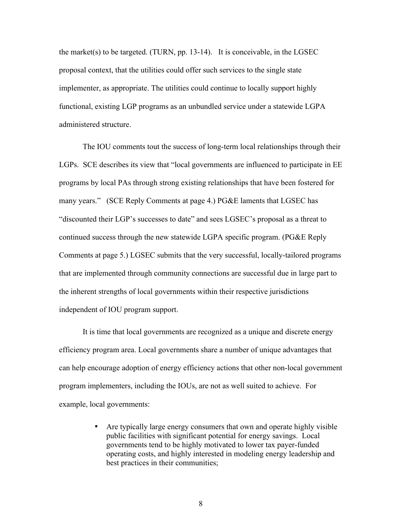the market(s) to be targeted. (TURN, pp. 13-14). It is conceivable, in the LGSEC proposal context, that the utilities could offer such services to the single state implementer, as appropriate. The utilities could continue to locally support highly functional, existing LGP programs as an unbundled service under a statewide LGPA administered structure.

The IOU comments tout the success of long-term local relationships through their LGPs. SCE describes its view that "local governments are influenced to participate in EE programs by local PAs through strong existing relationships that have been fostered for many years." (SCE Reply Comments at page 4.) PG&E laments that LGSEC has "discounted their LGP's successes to date" and sees LGSEC's proposal as a threat to continued success through the new statewide LGPA specific program. (PG&E Reply Comments at page 5.) LGSEC submits that the very successful, locally-tailored programs that are implemented through community connections are successful due in large part to the inherent strengths of local governments within their respective jurisdictions independent of IOU program support.

 It is time that local governments are recognized as a unique and discrete energy efficiency program area. Local governments share a number of unique advantages that can help encourage adoption of energy efficiency actions that other non-local government program implementers, including the IOUs, are not as well suited to achieve. For example, local governments:

> • Are typically large energy consumers that own and operate highly visible public facilities with significant potential for energy savings. Local governments tend to be highly motivated to lower tax payer-funded operating costs, and highly interested in modeling energy leadership and best practices in their communities;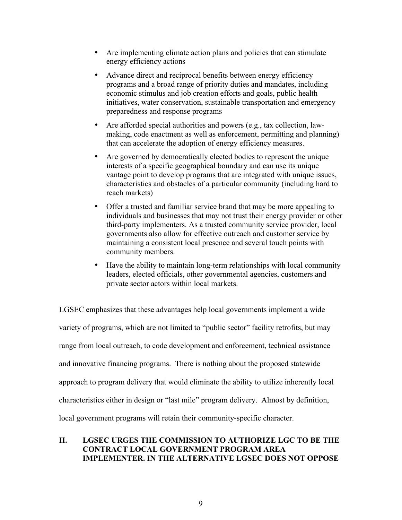- Are implementing climate action plans and policies that can stimulate energy efficiency actions
- Advance direct and reciprocal benefits between energy efficiency programs and a broad range of priority duties and mandates, including economic stimulus and job creation efforts and goals, public health initiatives, water conservation, sustainable transportation and emergency preparedness and response programs
- Are afforded special authorities and powers (e.g., tax collection, lawmaking, code enactment as well as enforcement, permitting and planning) that can accelerate the adoption of energy efficiency measures.
- Are governed by democratically elected bodies to represent the unique interests of a specific geographical boundary and can use its unique vantage point to develop programs that are integrated with unique issues, characteristics and obstacles of a particular community (including hard to reach markets)
- Offer a trusted and familiar service brand that may be more appealing to individuals and businesses that may not trust their energy provider or other third-party implementers. As a trusted community service provider, local governments also allow for effective outreach and customer service by maintaining a consistent local presence and several touch points with community members.
- Have the ability to maintain long-term relationships with local community leaders, elected officials, other governmental agencies, customers and private sector actors within local markets.

LGSEC emphasizes that these advantages help local governments implement a wide variety of programs, which are not limited to "public sector" facility retrofits, but may range from local outreach, to code development and enforcement, technical assistance and innovative financing programs. There is nothing about the proposed statewide approach to program delivery that would eliminate the ability to utilize inherently local characteristics either in design or "last mile" program delivery. Almost by definition, local government programs will retain their community-specific character.

# **II. LGSEC URGES THE COMMISSION TO AUTHORIZE LGC TO BE THE CONTRACT LOCAL GOVERNMENT PROGRAM AREA IMPLEMENTER. IN THE ALTERNATIVE LGSEC DOES NOT OPPOSE**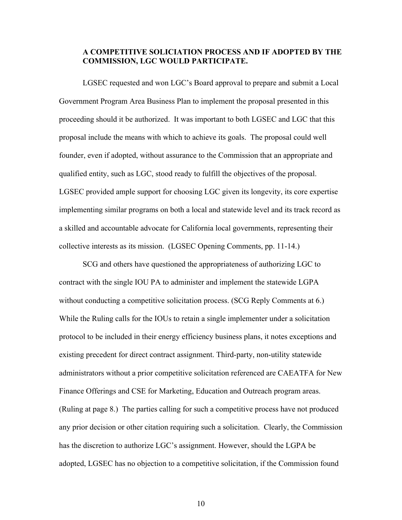### **A COMPETITIVE SOLICIATION PROCESS AND IF ADOPTED BY THE COMMISSION, LGC WOULD PARTICIPATE.**

LGSEC requested and won LGC's Board approval to prepare and submit a Local Government Program Area Business Plan to implement the proposal presented in this proceeding should it be authorized. It was important to both LGSEC and LGC that this proposal include the means with which to achieve its goals. The proposal could well founder, even if adopted, without assurance to the Commission that an appropriate and qualified entity, such as LGC, stood ready to fulfill the objectives of the proposal. LGSEC provided ample support for choosing LGC given its longevity, its core expertise implementing similar programs on both a local and statewide level and its track record as a skilled and accountable advocate for California local governments, representing their collective interests as its mission. (LGSEC Opening Comments, pp. 11-14.)

SCG and others have questioned the appropriateness of authorizing LGC to contract with the single IOU PA to administer and implement the statewide LGPA without conducting a competitive solicitation process. (SCG Reply Comments at 6.) While the Ruling calls for the IOUs to retain a single implementer under a solicitation protocol to be included in their energy efficiency business plans, it notes exceptions and existing precedent for direct contract assignment. Third-party, non-utility statewide administrators without a prior competitive solicitation referenced are CAEATFA for New Finance Offerings and CSE for Marketing, Education and Outreach program areas. (Ruling at page 8.) The parties calling for such a competitive process have not produced any prior decision or other citation requiring such a solicitation. Clearly, the Commission has the discretion to authorize LGC's assignment. However, should the LGPA be adopted, LGSEC has no objection to a competitive solicitation, if the Commission found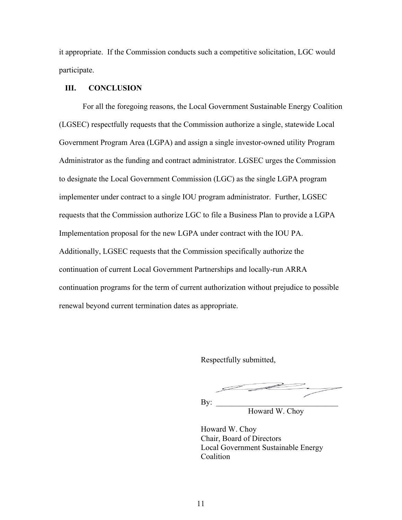it appropriate. If the Commission conducts such a competitive solicitation, LGC would participate.

#### **III. CONCLUSION**

For all the foregoing reasons, the Local Government Sustainable Energy Coalition (LGSEC) respectfully requests that the Commission authorize a single, statewide Local Government Program Area (LGPA) and assign a single investor-owned utility Program Administrator as the funding and contract administrator. LGSEC urges the Commission to designate the Local Government Commission (LGC) as the single LGPA program implementer under contract to a single IOU program administrator. Further, LGSEC requests that the Commission authorize LGC to file a Business Plan to provide a LGPA Implementation proposal for the new LGPA under contract with the IOU PA. Additionally, LGSEC requests that the Commission specifically authorize the continuation of current Local Government Partnerships and locally-run ARRA continuation programs for the term of current authorization without prejudice to possible renewal beyond current termination dates as appropriate.

Respectfully submitted,

 $\mathbf{By:}$ 

Howard W. Choy

 Howard W. Choy Chair, Board of Directors Local Government Sustainable Energy **Coalition**